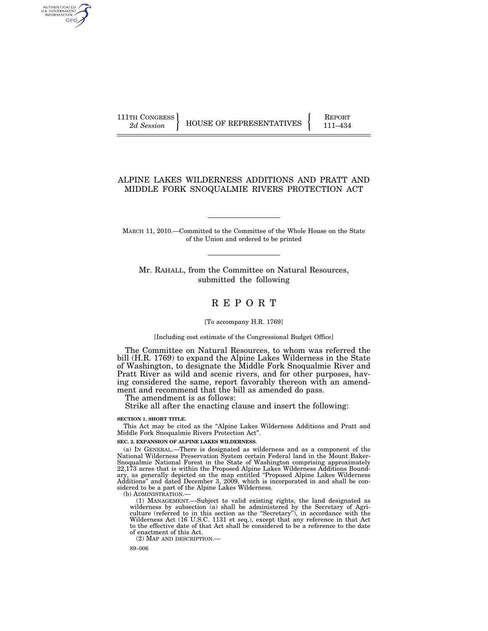AUTHENTICATED<br>U.S. GOVERNMENT<br>INFORMATION GPO

111TH CONGRESS HOUSE OF REPRESENTATIVES FEPORT 111–434

## ALPINE LAKES WILDERNESS ADDITIONS AND PRATT AND MIDDLE FORK SNOQUALMIE RIVERS PROTECTION ACT

MARCH 11, 2010.—Committed to the Committee of the Whole House on the State of the Union and ordered to be printed

Mr. RAHALL, from the Committee on Natural Resources, submitted the following

# R E P O R T

#### [To accompany H.R. 1769]

### [Including cost estimate of the Congressional Budget Office]

The Committee on Natural Resources, to whom was referred the bill (H.R. 1769) to expand the Alpine Lakes Wilderness in the State of Washington, to designate the Middle Fork Snoqualmie River and Pratt River as wild and scenic rivers, and for other purposes, having considered the same, report favorably thereon with an amendment and recommend that the bill as amended do pass.

The amendment is as follows:

Strike all after the enacting clause and insert the following:

#### **SECTION 1. SHORT TITLE.**

This Act may be cited as the ''Alpine Lakes Wilderness Additions and Pratt and Middle Fork Snoqualmie Rivers Protection Act''.

### **SEC. 2. EXPANSION OF ALPINE LAKES WILDERNESS.**

(a) IN GENERAL.—There is designated as wilderness and as a component of the National Wilderness Preservation System certain Federal land in the Mount Baker-Snoqualmie National Forest in the State of Washington comprising approximately 22,173 acres that is within the Proposed Alpine Lakes Wilderness Additions Boundary, as generally depicted on the map entitled ''Proposed Alpine Lakes Wilderness Additions'' and dated December 3, 2009, which is incorporated in and shall be considered to be a part of the Alpine Lakes Wilderness.

(b) ADMINISTRATION.—

(1) MANAGEMENT.—Subject to valid existing rights, the land designated as wilderness by subsection (a) shall be administered by the Secretary of Agriculture (referred to in this section as the ''Secretary''), in accordance with the Wilderness Act (16 U.S.C. 1131 et seq.), except that any reference in that Act to the effective date of that Act shall be considered to be a reference to the date of enactment of this Act.

(2) MAP AND DESCRIPTION.—

89–006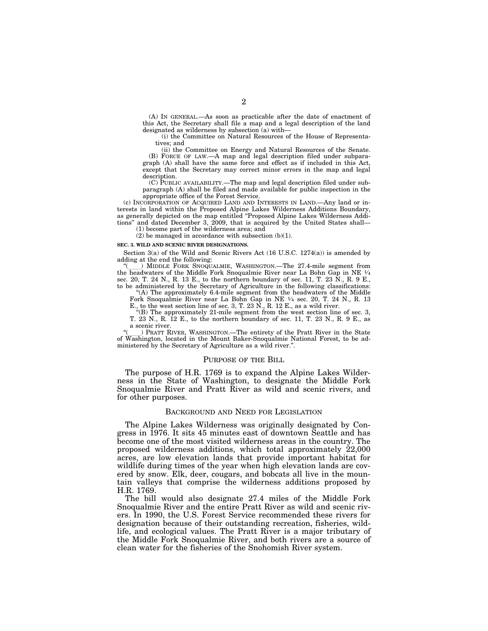(A) IN GENERAL.—As soon as practicable after the date of enactment of this Act, the Secretary shall file a map and a legal description of the land designated as wilderness by subsection (a) with—

(i) the Committee on Natural Resources of the House of Representatives; and

(ii) the Committee on Energy and Natural Resources of the Senate. (B) FORCE OF LAW.—A map and legal description filed under subparagraph (A) shall have the same force and effect as if included in this Act, except that the Secretary may correct minor errors in the map and legal description.

(C) PUBLIC AVAILABILITY.—The map and legal description filed under subparagraph (A) shall be filed and made available for public inspection in the appropriate office of the Forest Service.

(c) INCORPORATION OF ACQUIRED LAND AND INTERESTS IN LAND.—Any land or interests in land within the Proposed Alpine Lakes Wilderness Additions Boundary, as generally depicted on the map entitled ''Proposed Alpine Lakes Wilderness Additions'' and dated December 3, 2009, that is acquired by the United States shall—

(1) become part of the wilderness area; and

 $(2)$  be managed in accordance with subsection  $(b)(1)$ .

#### **SEC. 3. WILD AND SCENIC RIVER DESIGNATIONS.**

Section  $3(a)$  of the Wild and Scenic Rivers Act (16 U.S.C. 1274 $(a)$ ) is amended by adding at the end the following:

) MIDDLE FORK SNOQUALMIE, WASHINGTON.—The 27.4-mile segment from the headwaters of the Middle Fork Snoqualmie River near La Bohn Gap in NE 1⁄4 sec. 20, T. 24 N., R. 13 E., to the northern boundary of sec. 11, T. 23  $\dot{N}$ ., R. 9 E., to be administered by the Secretary of Agriculture in the following classifications:

"(A) The approximately 6.4-mile segment from the headwaters of the Middle Fork Snoqualmie River near La Bohn Gap in NE 1⁄4 sec. 20, T. 24 N., R. 13

E., to the west section line of sec. 3, T. 23 N., R. 12 E., as a wild river.

''(B) The approximately 21-mile segment from the west section line of sec. 3, T. 23 N., R. 12 E., to the northern boundary of sec. 11, T. 23 N., R. 9 E., as a scenic river.<br>
) PRATT RIVER, WASHINGTON.—The entirety of the Pratt River in the State

''(ll) PRATT RIVER, WASHINGTON.—The entirety of the Pratt River in the State of Washington, located in the Mount Baker-Snoqualmie National Forest, to be administered by the Secretary of Agriculture as a wild river.''.

#### PURPOSE OF THE BILL

The purpose of H.R. 1769 is to expand the Alpine Lakes Wilderness in the State of Washington, to designate the Middle Fork Snoqualmie River and Pratt River as wild and scenic rivers, and for other purposes.

#### BACKGROUND AND NEED FOR LEGISLATION

The Alpine Lakes Wilderness was originally designated by Congress in 1976. It sits 45 minutes east of downtown Seattle and has become one of the most visited wilderness areas in the country. The proposed wilderness additions, which total approximately 22,000 acres, are low elevation lands that provide important habitat for wildlife during times of the year when high elevation lands are covered by snow. Elk, deer, cougars, and bobcats all live in the mountain valleys that comprise the wilderness additions proposed by H.R. 1769.

The bill would also designate 27.4 miles of the Middle Fork Snoqualmie River and the entire Pratt River as wild and scenic rivers. In 1990, the U.S. Forest Service recommended these rivers for designation because of their outstanding recreation, fisheries, wildlife, and ecological values. The Pratt River is a major tributary of the Middle Fork Snoqualmie River, and both rivers are a source of clean water for the fisheries of the Snohomish River system.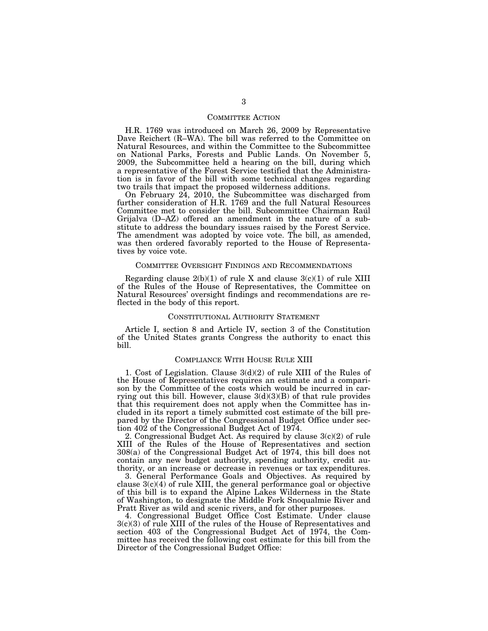### COMMITTEE ACTION

H.R. 1769 was introduced on March 26, 2009 by Representative Dave Reichert (R–WA). The bill was referred to the Committee on Natural Resources, and within the Committee to the Subcommittee on National Parks, Forests and Public Lands. On November 5, 2009, the Subcommittee held a hearing on the bill, during which a representative of the Forest Service testified that the Administration is in favor of the bill with some technical changes regarding two trails that impact the proposed wilderness additions.

On February 24, 2010, the Subcommittee was discharged from further consideration of H.R. 1769 and the full Natural Resources Committee met to consider the bill. Subcommittee Chairman Raul Grijalva (D–AZ) offered an amendment in the nature of a substitute to address the boundary issues raised by the Forest Service. The amendment was adopted by voice vote. The bill, as amended, was then ordered favorably reported to the House of Representatives by voice vote.

### COMMITTEE OVERSIGHT FINDINGS AND RECOMMENDATIONS

Regarding clause  $2(b)(1)$  of rule X and clause  $3(c)(1)$  of rule XIII of the Rules of the House of Representatives, the Committee on Natural Resources' oversight findings and recommendations are reflected in the body of this report.

#### CONSTITUTIONAL AUTHORITY STATEMENT

Article I, section 8 and Article IV, section 3 of the Constitution of the United States grants Congress the authority to enact this bill.

## COMPLIANCE WITH HOUSE RULE XIII

1. Cost of Legislation. Clause 3(d)(2) of rule XIII of the Rules of the House of Representatives requires an estimate and a comparison by the Committee of the costs which would be incurred in carrying out this bill. However, clause  $3(d)(3)(B)$  of that rule provides that this requirement does not apply when the Committee has included in its report a timely submitted cost estimate of the bill prepared by the Director of the Congressional Budget Office under section 402 of the Congressional Budget Act of 1974.

2. Congressional Budget Act. As required by clause 3(c)(2) of rule XIII of the Rules of the House of Representatives and section 308(a) of the Congressional Budget Act of 1974, this bill does not contain any new budget authority, spending authority, credit authority, or an increase or decrease in revenues or tax expenditures.

3. General Performance Goals and Objectives. As required by clause  $3(c)(4)$  of rule XIII, the general performance goal or objective of this bill is to expand the Alpine Lakes Wilderness in the State of Washington, to designate the Middle Fork Snoqualmie River and Pratt River as wild and scenic rivers, and for other purposes.

4. Congressional Budget Office Cost Estimate. Under clause 3(c)(3) of rule XIII of the rules of the House of Representatives and section 403 of the Congressional Budget Act of 1974, the Committee has received the following cost estimate for this bill from the Director of the Congressional Budget Office: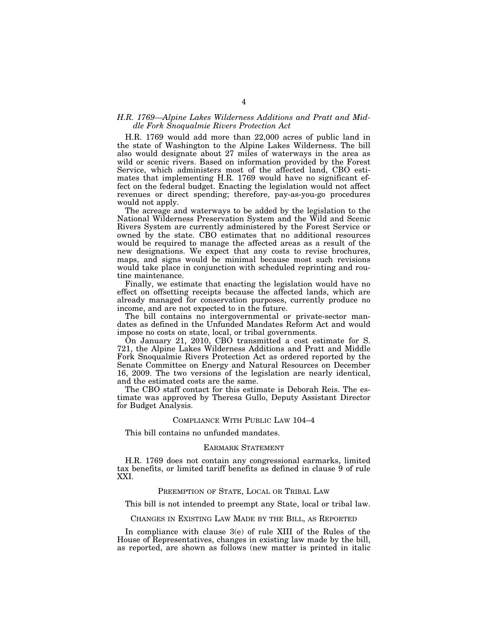### *H.R. 1769—Alpine Lakes Wilderness Additions and Pratt and Middle Fork Snoqualmie Rivers Protection Act*

H.R. 1769 would add more than 22,000 acres of public land in the state of Washington to the Alpine Lakes Wilderness. The bill also would designate about 27 miles of waterways in the area as wild or scenic rivers. Based on information provided by the Forest Service, which administers most of the affected land, CBO estimates that implementing H.R. 1769 would have no significant effect on the federal budget. Enacting the legislation would not affect revenues or direct spending; therefore, pay-as-you-go procedures would not apply.

The acreage and waterways to be added by the legislation to the National Wilderness Preservation System and the Wild and Scenic Rivers System are currently administered by the Forest Service or owned by the state. CBO estimates that no additional resources would be required to manage the affected areas as a result of the new designations. We expect that any costs to revise brochures, maps, and signs would be minimal because most such revisions would take place in conjunction with scheduled reprinting and routine maintenance.

Finally, we estimate that enacting the legislation would have no effect on offsetting receipts because the affected lands, which are already managed for conservation purposes, currently produce no income, and are not expected to in the future.

The bill contains no intergovernmental or private-sector mandates as defined in the Unfunded Mandates Reform Act and would impose no costs on state, local, or tribal governments.

On January 21, 2010, CBO transmitted a cost estimate for S. 721, the Alpine Lakes Wilderness Additions and Pratt and Middle Fork Snoqualmie Rivers Protection Act as ordered reported by the Senate Committee on Energy and Natural Resources on December 16, 2009. The two versions of the legislation are nearly identical, and the estimated costs are the same.

The CBO staff contact for this estimate is Deborah Reis. The estimate was approved by Theresa Gullo, Deputy Assistant Director for Budget Analysis.

### COMPLIANCE WITH PUBLIC LAW 104–4

This bill contains no unfunded mandates.

### EARMARK STATEMENT

H.R. 1769 does not contain any congressional earmarks, limited tax benefits, or limited tariff benefits as defined in clause 9 of rule XXI.

### PREEMPTION OF STATE, LOCAL OR TRIBAL LAW

This bill is not intended to preempt any State, local or tribal law.

### CHANGES IN EXISTING LAW MADE BY THE BILL, AS REPORTED

In compliance with clause 3(e) of rule XIII of the Rules of the House of Representatives, changes in existing law made by the bill, as reported, are shown as follows (new matter is printed in italic